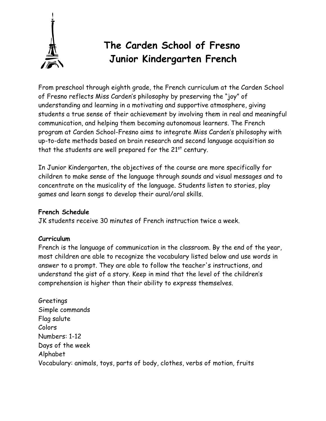

## **The Carden School of Fresno Junior Kindergarten French**

From preschool through eighth grade, the French curriculum at the Carden School of Fresno reflects Miss Carden's philosophy by preserving the "joy" of understanding and learning in a motivating and supportive atmosphere, giving students a true sense of their achievement by involving them in real and meaningful communication, and helping them becoming autonomous learners. The French program at Carden School-Fresno aims to integrate Miss Carden's philosophy with up-to-date methods based on brain research and second language acquisition so that the students are well prepared for the  $21<sup>st</sup>$  century.

In Junior Kindergarten, the objectives of the course are more specifically for children to make sense of the language through sounds and visual messages and to concentrate on the musicality of the language. Students listen to stories, play games and learn songs to develop their aural/oral skills.

## **French Schedule**

JK students receive 30 minutes of French instruction twice a week.

## **Curriculum**

French is the language of communication in the classroom. By the end of the year, most children are able to recognize the vocabulary listed below and use words in answer to a prompt. They are able to follow the teacher's instructions, and understand the gist of a story. Keep in mind that the level of the children's comprehension is higher than their ability to express themselves.

Greetings Simple commands Flag salute Colors Numbers: 1-12 Days of the week Alphabet Vocabulary: animals, toys, parts of body, clothes, verbs of motion, fruits